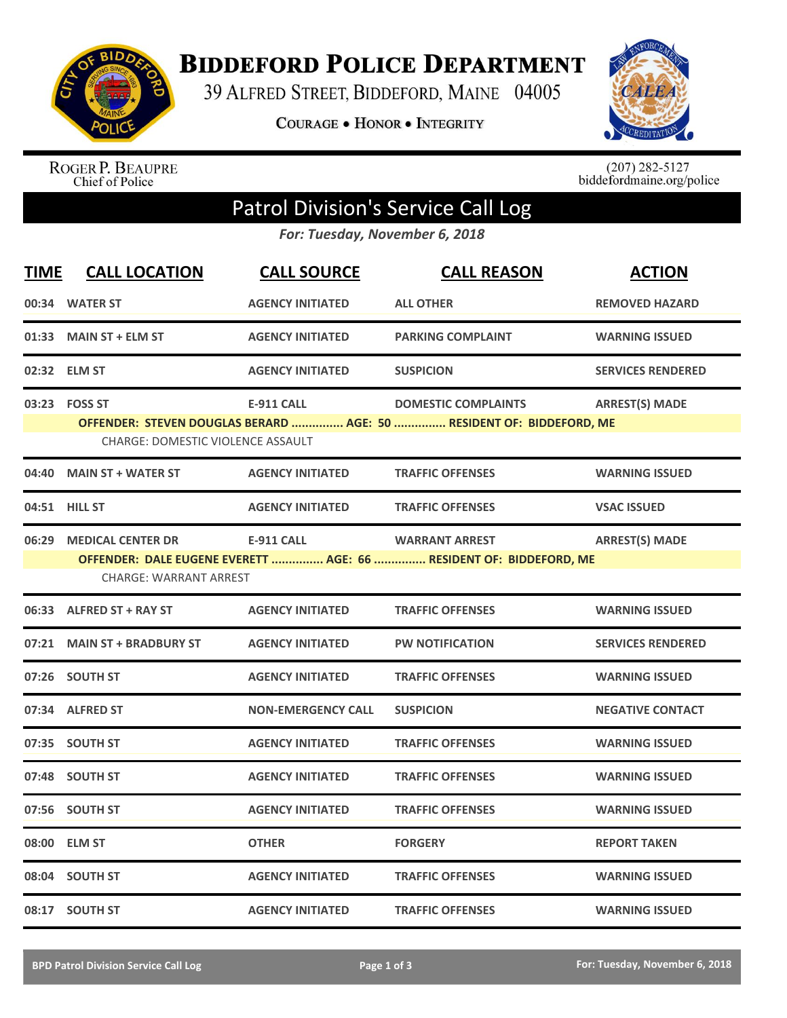

**BIDDEFORD POLICE DEPARTMENT** 

39 ALFRED STREET, BIDDEFORD, MAINE 04005

**COURAGE . HONOR . INTEGRITY** 



ROGER P. BEAUPRE<br>Chief of Police

 $(207)$  282-5127<br>biddefordmaine.org/police

## Patrol Division's Service Call Log

*For: Tuesday, November 6, 2018*

| <b>TIME</b> | <b>CALL LOCATION</b>                     | <b>CALL SOURCE</b>        | <b>CALL REASON</b>                                                                                 | <b>ACTION</b>            |
|-------------|------------------------------------------|---------------------------|----------------------------------------------------------------------------------------------------|--------------------------|
|             | 00:34 WATER ST                           | <b>AGENCY INITIATED</b>   | <b>ALL OTHER</b>                                                                                   | <b>REMOVED HAZARD</b>    |
| 01:33       | <b>MAIN ST + ELM ST</b>                  | <b>AGENCY INITIATED</b>   | <b>PARKING COMPLAINT</b>                                                                           | <b>WARNING ISSUED</b>    |
|             | 02:32 ELM ST                             | <b>AGENCY INITIATED</b>   | <b>SUSPICION</b>                                                                                   | <b>SERVICES RENDERED</b> |
|             | 03:23    FOSS ST                         | <b>E-911 CALL</b>         | <b>DOMESTIC COMPLAINTS</b><br>OFFENDER: STEVEN DOUGLAS BERARD  AGE: 50  RESIDENT OF: BIDDEFORD, ME | <b>ARREST(S) MADE</b>    |
|             | <b>CHARGE: DOMESTIC VIOLENCE ASSAULT</b> |                           |                                                                                                    |                          |
|             | 04:40 MAIN ST + WATER ST                 | <b>AGENCY INITIATED</b>   | <b>TRAFFIC OFFENSES</b>                                                                            | <b>WARNING ISSUED</b>    |
|             | 04:51 HILL ST                            | <b>AGENCY INITIATED</b>   | <b>TRAFFIC OFFENSES</b>                                                                            | <b>VSAC ISSUED</b>       |
| 06:29       | <b>MEDICAL CENTER DR</b>                 | <b>E-911 CALL</b>         | <b>WARRANT ARREST</b><br>OFFENDER: DALE EUGENE EVERETT  AGE: 66  RESIDENT OF: BIDDEFORD, ME        | <b>ARREST(S) MADE</b>    |
|             | <b>CHARGE: WARRANT ARREST</b>            |                           |                                                                                                    |                          |
|             | 06:33 ALFRED ST + RAY ST                 | <b>AGENCY INITIATED</b>   | <b>TRAFFIC OFFENSES</b>                                                                            | <b>WARNING ISSUED</b>    |
|             | 07:21 MAIN ST + BRADBURY ST              | <b>AGENCY INITIATED</b>   | <b>PW NOTIFICATION</b>                                                                             | <b>SERVICES RENDERED</b> |
|             | 07:26 SOUTH ST                           | <b>AGENCY INITIATED</b>   | <b>TRAFFIC OFFENSES</b>                                                                            | <b>WARNING ISSUED</b>    |
|             | 07:34 ALFRED ST                          | <b>NON-EMERGENCY CALL</b> | <b>SUSPICION</b>                                                                                   | <b>NEGATIVE CONTACT</b>  |
|             | 07:35 SOUTH ST                           | <b>AGENCY INITIATED</b>   | <b>TRAFFIC OFFENSES</b>                                                                            | <b>WARNING ISSUED</b>    |
|             | 07:48 SOUTH ST                           | <b>AGENCY INITIATED</b>   | <b>TRAFFIC OFFENSES</b>                                                                            | <b>WARNING ISSUED</b>    |
|             | 07:56 SOUTH ST                           | <b>AGENCY INITIATED</b>   | <b>TRAFFIC OFFENSES</b>                                                                            | <b>WARNING ISSUED</b>    |
|             | 08:00 ELM ST                             | <b>OTHER</b>              | <b>FORGERY</b>                                                                                     | <b>REPORT TAKEN</b>      |
|             | 08:04 SOUTH ST                           | <b>AGENCY INITIATED</b>   | <b>TRAFFIC OFFENSES</b>                                                                            | <b>WARNING ISSUED</b>    |
|             | 08:17 SOUTH ST                           | <b>AGENCY INITIATED</b>   | <b>TRAFFIC OFFENSES</b>                                                                            | <b>WARNING ISSUED</b>    |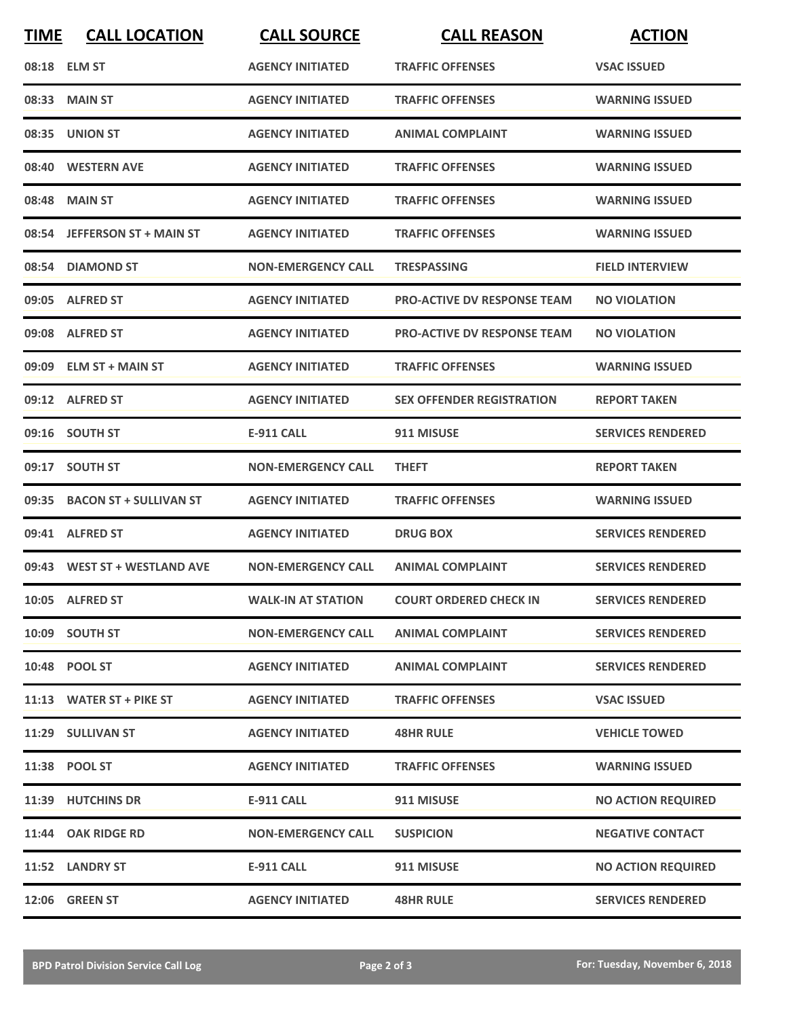| <b>TIME</b> | <b>CALL LOCATION</b>         | <b>CALL SOURCE</b>        | <b>CALL REASON</b>                 | <b>ACTION</b>             |
|-------------|------------------------------|---------------------------|------------------------------------|---------------------------|
|             | 08:18 ELM ST                 | <b>AGENCY INITIATED</b>   | <b>TRAFFIC OFFENSES</b>            | <b>VSAC ISSUED</b>        |
|             | 08:33 MAIN ST                | <b>AGENCY INITIATED</b>   | <b>TRAFFIC OFFENSES</b>            | <b>WARNING ISSUED</b>     |
|             | 08:35 UNION ST               | <b>AGENCY INITIATED</b>   | <b>ANIMAL COMPLAINT</b>            | <b>WARNING ISSUED</b>     |
|             | 08:40 WESTERN AVE            | <b>AGENCY INITIATED</b>   | <b>TRAFFIC OFFENSES</b>            | <b>WARNING ISSUED</b>     |
|             | 08:48 MAIN ST                | <b>AGENCY INITIATED</b>   | <b>TRAFFIC OFFENSES</b>            | <b>WARNING ISSUED</b>     |
|             | 08:54 JEFFERSON ST + MAIN ST | <b>AGENCY INITIATED</b>   | <b>TRAFFIC OFFENSES</b>            | <b>WARNING ISSUED</b>     |
|             | 08:54 DIAMOND ST             | <b>NON-EMERGENCY CALL</b> | <b>TRESPASSING</b>                 | <b>FIELD INTERVIEW</b>    |
|             | 09:05 ALFRED ST              | <b>AGENCY INITIATED</b>   | <b>PRO-ACTIVE DV RESPONSE TEAM</b> | <b>NO VIOLATION</b>       |
|             | 09:08 ALFRED ST              | <b>AGENCY INITIATED</b>   | <b>PRO-ACTIVE DV RESPONSE TEAM</b> | <b>NO VIOLATION</b>       |
|             | 09:09 ELM ST + MAIN ST       | <b>AGENCY INITIATED</b>   | <b>TRAFFIC OFFENSES</b>            | <b>WARNING ISSUED</b>     |
|             | 09:12 ALFRED ST              | <b>AGENCY INITIATED</b>   | <b>SEX OFFENDER REGISTRATION</b>   | <b>REPORT TAKEN</b>       |
|             | 09:16 SOUTH ST               | <b>E-911 CALL</b>         | 911 MISUSE                         | <b>SERVICES RENDERED</b>  |
| 09:17       | <b>SOUTH ST</b>              | <b>NON-EMERGENCY CALL</b> | <b>THEFT</b>                       | <b>REPORT TAKEN</b>       |
|             | 09:35 BACON ST + SULLIVAN ST | <b>AGENCY INITIATED</b>   | <b>TRAFFIC OFFENSES</b>            | <b>WARNING ISSUED</b>     |
|             | 09:41 ALFRED ST              | <b>AGENCY INITIATED</b>   | <b>DRUG BOX</b>                    | <b>SERVICES RENDERED</b>  |
|             | 09:43 WEST ST + WESTLAND AVE | <b>NON-EMERGENCY CALL</b> | <b>ANIMAL COMPLAINT</b>            | <b>SERVICES RENDERED</b>  |
|             | 10:05 ALFRED ST              | <b>WALK-IN AT STATION</b> | <b>COURT ORDERED CHECK IN</b>      | <b>SERVICES RENDERED</b>  |
|             | 10:09 SOUTH ST               | <b>NON-EMERGENCY CALL</b> | <b>ANIMAL COMPLAINT</b>            | <b>SERVICES RENDERED</b>  |
|             | 10:48 POOL ST                | <b>AGENCY INITIATED</b>   | <b>ANIMAL COMPLAINT</b>            | <b>SERVICES RENDERED</b>  |
|             | 11:13 WATER ST + PIKE ST     | <b>AGENCY INITIATED</b>   | <b>TRAFFIC OFFENSES</b>            | <b>VSAC ISSUED</b>        |
|             | 11:29 SULLIVAN ST            | <b>AGENCY INITIATED</b>   | <b>48HR RULE</b>                   | <b>VEHICLE TOWED</b>      |
|             | 11:38 POOL ST                | <b>AGENCY INITIATED</b>   | <b>TRAFFIC OFFENSES</b>            | <b>WARNING ISSUED</b>     |
|             | 11:39 HUTCHINS DR            | E-911 CALL                | 911 MISUSE                         | <b>NO ACTION REQUIRED</b> |
|             | 11:44 OAK RIDGE RD           | <b>NON-EMERGENCY CALL</b> | <b>SUSPICION</b>                   | <b>NEGATIVE CONTACT</b>   |
|             | 11:52 LANDRY ST              | E-911 CALL                | 911 MISUSE                         | <b>NO ACTION REQUIRED</b> |
|             | 12:06 GREEN ST               | <b>AGENCY INITIATED</b>   | <b>48HR RULE</b>                   | <b>SERVICES RENDERED</b>  |